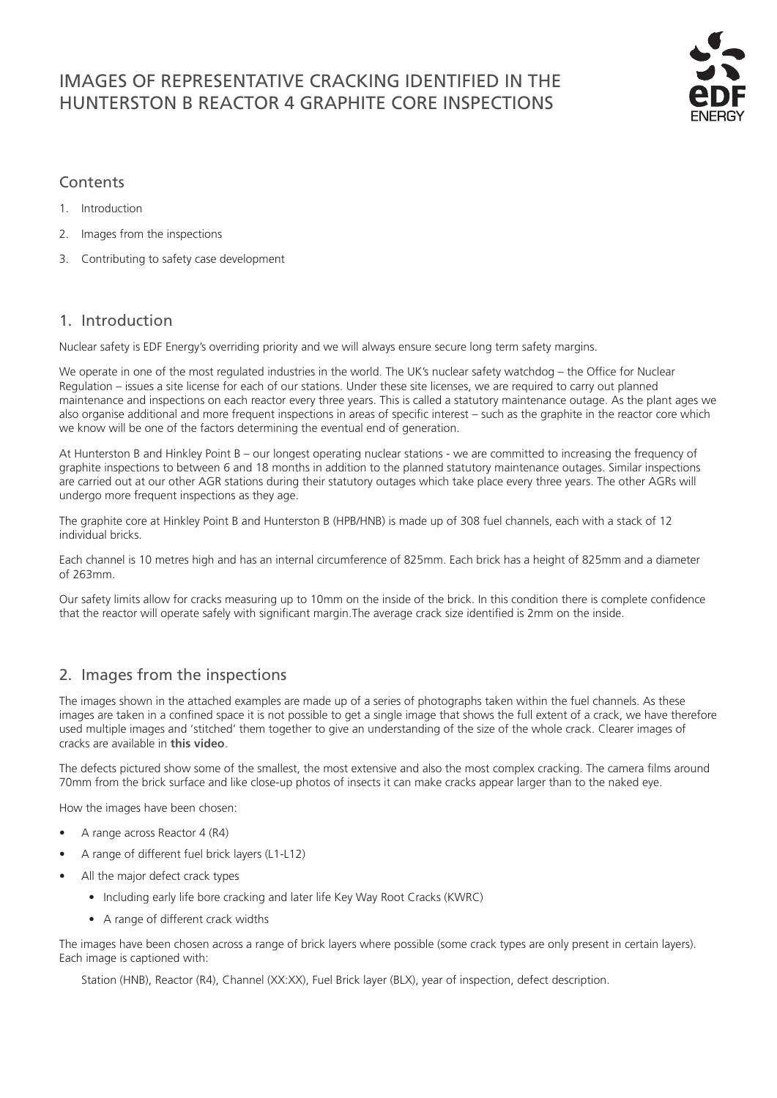# IMAGES OF REPRESENTATIVE CRACKING IDENTIFIED IN THE HUNTERSTON B REACTOR 4 GRAPHITE CORE INSPECTIONS



### **Contents**

- 1. Introduction
- 2. Images from the inspections
- 3. Contributing to safety case development

## 1. Introduction

Nuclear safety is EDF Energy's overriding priority and we will always ensure secure long term safety margins.

We operate in one of the most regulated industries in the world. The UK's nuclear safety watchdog – the Office for Nuclear Regulation – issues a site license for each of our stations. Under these site licenses, we are required to carry out planned maintenance and inspections on each reactor every three years. This is called a statutory maintenance outage. As the plant ages we also organise additional and more frequent inspections in areas of specific interest – such as the graphite in the reactor core which we know will be one of the factors determining the eventual end of generation.

At Hunterston B and Hinkley Point B – our longest operating nuclear stations - we are committed to increasing the frequency of graphite inspections to between 6 and 18 months in addition to the planned statutory maintenance outages. Similar inspections are carried out at our other AGR stations during their statutory outages which take place every three years. The other AGRs will undergo more frequent inspections as they age.

The graphite core at Hinkley Point B and Hunterston B (HPB/HNB) is made up of 308 fuel channels, each with a stack of 12 individual bricks.

Each channel is 10 metres high and has an internal circumference of 825mm. Each brick has a height of 825mm and a diameter of 263mm.

Our safety limits allow for cracks measuring up to 10mm on the inside of the brick. In this condition there is complete confidence that the reactor will operate safely with significant margin.The average crack size identified is 2mm on the inside.

# 2. Images from the inspections

The images shown in the attached examples are made up of a series of photographs taken within the fuel channels. As these images are taken in a confined space it is not possible to get a single image that shows the full extent of a crack, we have therefore used multiple images and 'stitched' them together to give an understanding of the size of the whole crack. Clearer images of cracks are available in **[this video](https://www.youtube.com/watch?v=hlaUky_v55I&feature=youtu.be)**.

The defects pictured show some of the smallest, the most extensive and also the most complex cracking. The camera films around 70mm from the brick surface and like close-up photos of insects it can make cracks appear larger than to the naked eye.

How the images have been chosen:

- A range across Reactor 4 (R4)
- A range of different fuel brick layers (L1-L12)
- All the major defect crack types
	- Including early life bore cracking and later life Key Way Root Cracks (KWRC)
	- A range of different crack widths

The images have been chosen across a range of brick layers where possible (some crack types are only present in certain layers). Each image is captioned with:

Station (HNB), Reactor (R4), Channel (XX:XX), Fuel Brick layer (BLX), year of inspection, defect description.